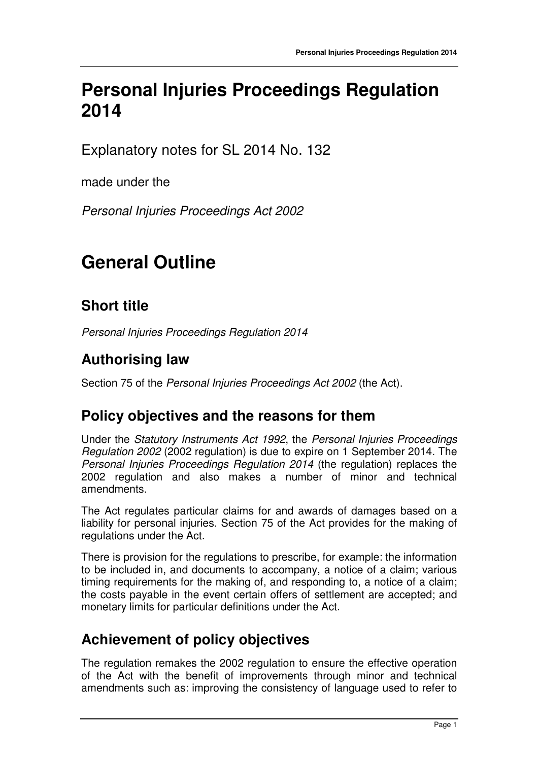## **Personal Injuries Proceedings Regulation 2014**

Explanatory notes for SL 2014 No. 132

made under the

Personal Injuries Proceedings Act 2002

# **General Outline**

### **Short title**

Personal Injuries Proceedings Regulation 2014

#### **Authorising law**

Section 75 of the Personal Injuries Proceedings Act 2002 (the Act).

#### **Policy objectives and the reasons for them**

Under the Statutory Instruments Act 1992, the Personal Injuries Proceedings Regulation 2002 (2002 regulation) is due to expire on 1 September 2014. The Personal Injuries Proceedings Regulation 2014 (the regulation) replaces the 2002 regulation and also makes a number of minor and technical amendments.

The Act regulates particular claims for and awards of damages based on a liability for personal injuries. Section 75 of the Act provides for the making of regulations under the Act.

There is provision for the regulations to prescribe, for example: the information to be included in, and documents to accompany, a notice of a claim; various timing requirements for the making of, and responding to, a notice of a claim; the costs payable in the event certain offers of settlement are accepted; and monetary limits for particular definitions under the Act.

#### **Achievement of policy objectives**

The regulation remakes the 2002 regulation to ensure the effective operation of the Act with the benefit of improvements through minor and technical amendments such as: improving the consistency of language used to refer to